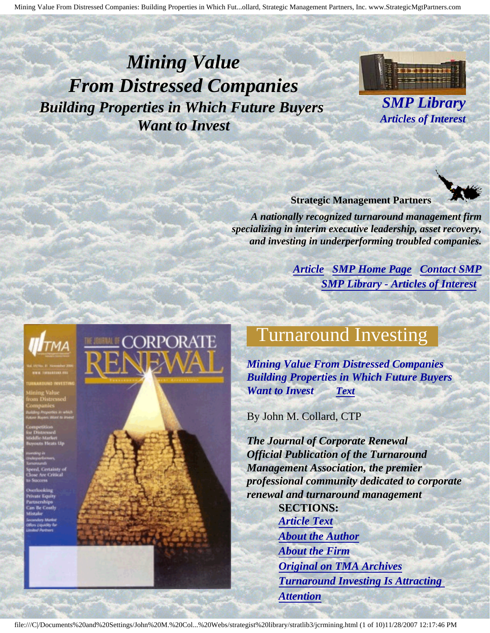<span id="page-0-3"></span><span id="page-0-2"></span>*Mining Value From Distressed Companies Building Properties in Which Future Buyers Want to Invest* 



*SMP Library Articles of Interest* 



**Strategic Management Partners** 

*A nationally recognized turnaround management firm specializing in interim executive leadership, asset recovery, and investing in underperforming troubled companies.* 

> *[Article](#page-0-0) [SMP Home Page](http://members.aol.com/strategist/home.html#TOP) [Contact SMP](#page-9-0) [SMP Library - Articles of Interest](http://members.aol.com/stratlib3/libindx.html#TOP)*

<span id="page-0-0"></span>

<span id="page-0-1"></span>





### Turnaround Investing

*Mining Value From Distressed Companies Building Properties in Which Future Buyers Want to Invest [Text](#page-1-0)* 

By John M. Collard, CTP

*The Journal of Corporate Renewal Official Publication of the Turnaround Management Association, the premier professional community dedicated to corporate renewal and turnaround management*  **SECTIONS:**  *[Article Text](#page-1-0) [About the Author](#page-7-0)  [About the Firm](#page-8-0) [Original on TMA Archives](#page-6-0)  [Turnaround Investing Is Attracting](#page-6-1) [Attention](#page-6-1)*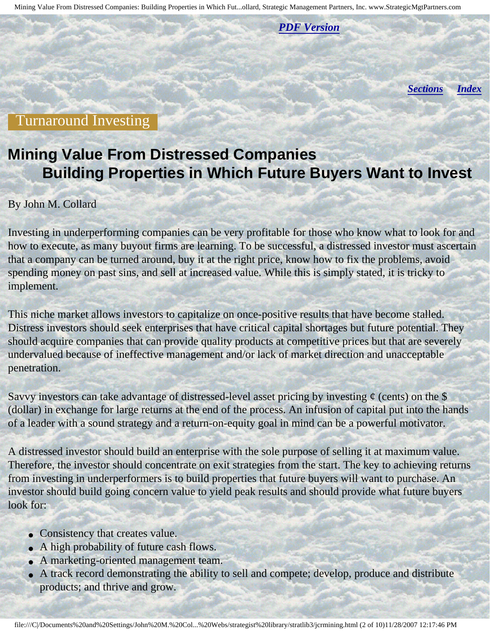*[PDF Version](http://members.aol.com/stratlib3/jcrmining.pdf)* 

*[Sections](#page-0-1) [Index](#page-0-2)*

#### <span id="page-1-0"></span>Turnaround Investing

### **Mining Value From Distressed Companies Building Properties in Which Future Buyers Want to Invest**

#### By John M. Collard

Investing in underperforming companies can be very profitable for those who know what to look for and how to execute, as many buyout firms are learning. To be successful, a distressed investor must ascertain that a company can be turned around, buy it at the right price, know how to fix the problems, avoid spending money on past sins, and sell at increased value. While this is simply stated, it is tricky to implement.

This niche market allows investors to capitalize on once-positive results that have become stalled. Distress investors should seek enterprises that have critical capital shortages but future potential. They should acquire companies that can provide quality products at competitive prices but that are severely undervalued because of ineffective management and/or lack of market direction and unacceptable penetration.

Savvy investors can take advantage of distressed-level asset pricing by investing  $\phi$  (cents) on the \$ (dollar) in exchange for large returns at the end of the process. An infusion of capital put into the hands of a leader with a sound strategy and a return-on-equity goal in mind can be a powerful motivator.

A distressed investor should build an enterprise with the sole purpose of selling it at maximum value. Therefore, the investor should concentrate on exit strategies from the start. The key to achieving returns from investing in underperformers is to build properties that future buyers will want to purchase. An investor should build going concern value to yield peak results and should provide what future buyers look for:

- Consistency that creates value.
- A high probability of future cash flows.
- A marketing-oriented management team.
- A track record demonstrating the ability to sell and compete; develop, produce and distribute products; and thrive and grow.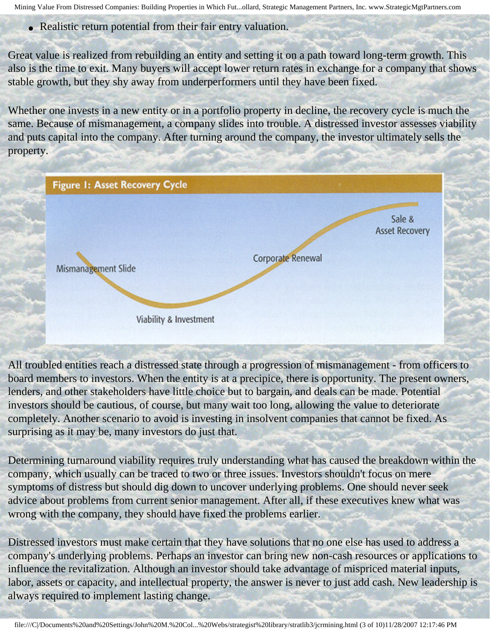• Realistic return potential from their fair entry valuation.

Great value is realized from rebuilding an entity and setting it on a path toward long-term growth. This also is the time to exit. Many buyers will accept lower return rates in exchange for a company that shows stable growth, but they shy away from underperformers until they have been fixed.

Whether one invests in a new entity or in a portfolio property in decline, the recovery cycle is much the same. Because of mismanagement, a company slides into trouble. A distressed investor assesses viability and puts capital into the company. After turning around the company, the investor ultimately sells the property.

|                     | <b>Figure 1: Asset Recovery Cycle</b> |                   |                                 |
|---------------------|---------------------------------------|-------------------|---------------------------------|
|                     |                                       |                   | Sale &<br><b>Asset Recovery</b> |
| Mismanagement Slide |                                       | Corporate Renewal |                                 |
|                     |                                       |                   |                                 |
|                     | Viability & Investment                |                   |                                 |

All troubled entities reach a distressed state through a progression of mismanagement - from officers to board members to investors. When the entity is at a precipice, there is opportunity. The present owners, lenders, and other stakeholders have little choice but to bargain, and deals can be made. Potential investors should be cautious, of course, but many wait too long, allowing the value to deteriorate completely. Another scenario to avoid is investing in insolvent companies that cannot be fixed. As surprising as it may be, many investors do just that.

Determining turnaround viability requires truly understanding what has caused the breakdown within the company, which usually can be traced to two or three issues. Investors shouldn't focus on mere symptoms of distress but should dig down to uncover underlying problems. One should never seek advice about problems from current senior management. After all, if these executives knew what was wrong with the company, they should have fixed the problems earlier.

Distressed investors must make certain that they have solutions that no one else has used to address a company's underlying problems. Perhaps an investor can bring new non-cash resources or applications to influence the revitalization. Although an investor should take advantage of mispriced material inputs, labor, assets or capacity, and intellectual property, the answer is never to just add cash. New leadership is always required to implement lasting change.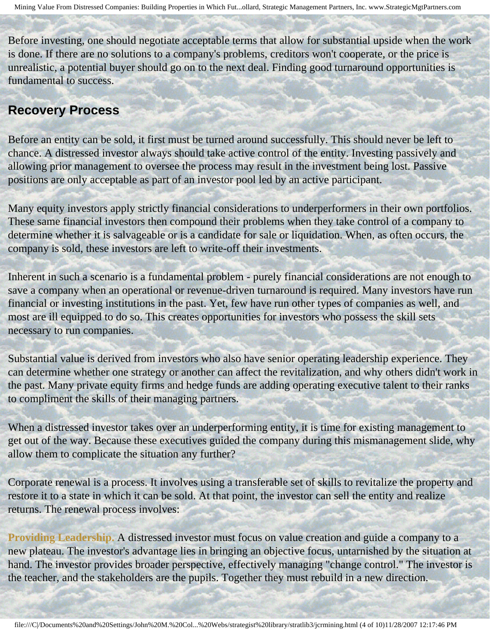Before investing, one should negotiate acceptable terms that allow for substantial upside when the work is done. If there are no solutions to a company's problems, creditors won't cooperate, or the price is unrealistic, a potential buyer should go on to the next deal. Finding good turnaround opportunities is fundamental to success.

#### **Recovery Process**

Before an entity can be sold, it first must be turned around successfully. This should never be left to chance. A distressed investor always should take active control of the entity. Investing passively and allowing prior management to oversee the process may result in the investment being lost. Passive positions are only acceptable as part of an investor pool led by an active participant.

Many equity investors apply strictly financial considerations to underperformers in their own portfolios. These same financial investors then compound their problems when they take control of a company to determine whether it is salvageable or is a candidate for sale or liquidation. When, as often occurs, the company is sold, these investors are left to write-off their investments.

Inherent in such a scenario is a fundamental problem - purely financial considerations are not enough to save a company when an operational or revenue-driven turnaround is required. Many investors have run financial or investing institutions in the past. Yet, few have run other types of companies as well, and most are ill equipped to do so. This creates opportunities for investors who possess the skill sets necessary to run companies.

Substantial value is derived from investors who also have senior operating leadership experience. They can determine whether one strategy or another can affect the revitalization, and why others didn't work in the past. Many private equity firms and hedge funds are adding operating executive talent to their ranks to compliment the skills of their managing partners.

When a distressed investor takes over an underperforming entity, it is time for existing management to get out of the way. Because these executives guided the company during this mismanagement slide, why allow them to complicate the situation any further?

Corporate renewal is a process. It involves using a transferable set of skills to revitalize the property and restore it to a state in which it can be sold. At that point, the investor can sell the entity and realize returns. The renewal process involves:

**Providing Leadership.** A distressed investor must focus on value creation and guide a company to a new plateau. The investor's advantage lies in bringing an objective focus, untarnished by the situation at hand. The investor provides broader perspective, effectively managing "change control." The investor is the teacher, and the stakeholders are the pupils. Together they must rebuild in a new direction.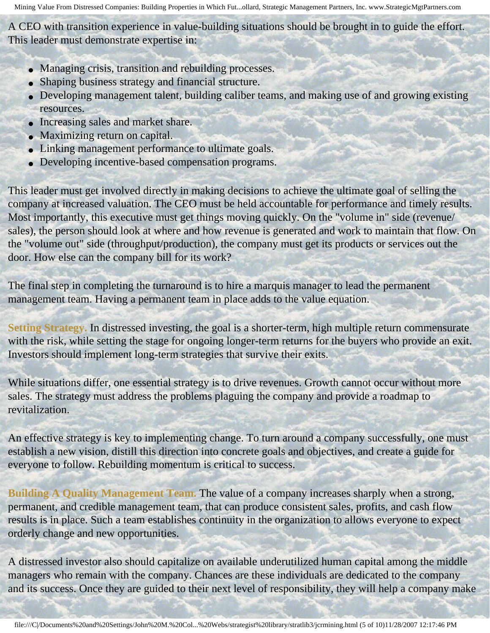A CEO with transition experience in value-building situations should be brought in to guide the effort. This leader must demonstrate expertise in:

- Managing crisis, transition and rebuilding processes.
- Shaping business strategy and financial structure.
- Developing management talent, building caliber teams, and making use of and growing existing resources.
- Increasing sales and market share.
- Maximizing return on capital.
- Linking management performance to ultimate goals.
- Developing incentive-based compensation programs.

This leader must get involved directly in making decisions to achieve the ultimate goal of selling the company at increased valuation. The CEO must be held accountable for performance and timely results. Most importantly, this executive must get things moving quickly. On the "volume in" side (revenue/ sales), the person should look at where and how revenue is generated and work to maintain that flow. On the "volume out" side (throughput/production), the company must get its products or services out the door. How else can the company bill for its work?

The final step in completing the turnaround is to hire a marquis manager to lead the permanent management team. Having a permanent team in place adds to the value equation.

**Setting Strategy.** In distressed investing, the goal is a shorter-term, high multiple return commensurate with the risk, while setting the stage for ongoing longer-term returns for the buyers who provide an exit. Investors should implement long-term strategies that survive their exits.

While situations differ, one essential strategy is to drive revenues. Growth cannot occur without more sales. The strategy must address the problems plaguing the company and provide a roadmap to revitalization.

An effective strategy is key to implementing change. To turn around a company successfully, one must establish a new vision, distill this direction into concrete goals and objectives, and create a guide for everyone to follow. Rebuilding momentum is critical to success.

**Building A Quality Management Team.** The value of a company increases sharply when a strong, permanent, and credible management team, that can produce consistent sales, profits, and cash flow results is in place. Such a team establishes continuity in the organization to allows everyone to expect orderly change and new opportunities.

A distressed investor also should capitalize on available underutilized human capital among the middle managers who remain with the company. Chances are these individuals are dedicated to the company and its success. Once they are guided to their next level of responsibility, they will help a company make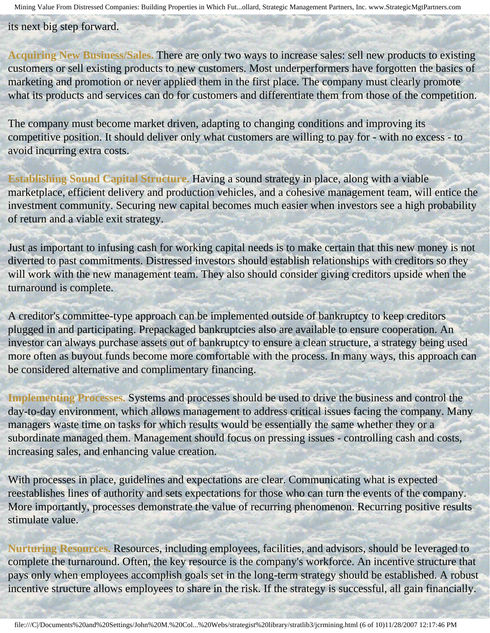its next big step forward.

**Acquiring New Business/Sales.** There are only two ways to increase sales: sell new products to existing customers or sell existing products to new customers. Most underperformers have forgotten the basics of marketing and promotion or never applied them in the first place. The company must clearly promote what its products and services can do for customers and differentiate them from those of the competition.

The company must become market driven, adapting to changing conditions and improving its competitive position. It should deliver only what customers are willing to pay for - with no excess - to avoid incurring extra costs.

**Establishing Sound Capital Structure.** Having a sound strategy in place, along with a viable marketplace, efficient delivery and production vehicles, and a cohesive management team, will entice the investment community. Securing new capital becomes much easier when investors see a high probability of return and a viable exit strategy.

Just as important to infusing cash for working capital needs is to make certain that this new money is not diverted to past commitments. Distressed investors should establish relationships with creditors so they will work with the new management team. They also should consider giving creditors upside when the turnaround is complete.

A creditor's committee-type approach can be implemented outside of bankruptcy to keep creditors plugged in and participating. Prepackaged bankruptcies also are available to ensure cooperation. An investor can always purchase assets out of bankruptcy to ensure a clean structure, a strategy being used more often as buyout funds become more comfortable with the process. In many ways, this approach can be considered alternative and complimentary financing.

**Implementing Processes.** Systems and processes should be used to drive the business and control the day-to-day environment, which allows management to address critical issues facing the company. Many managers waste time on tasks for which results would be essentially the same whether they or a subordinate managed them. Management should focus on pressing issues - controlling cash and costs, increasing sales, and enhancing value creation.

With processes in place, guidelines and expectations are clear. Communicating what is expected reestablishes lines of authority and sets expectations for those who can turn the events of the company. More importantly, processes demonstrate the value of recurring phenomenon. Recurring positive results stimulate value.

**Nurturing Resources.** Resources, including employees, facilities, and advisors, should be leveraged to complete the turnaround. Often, the key resource is the company's workforce. An incentive structure that pays only when employees accomplish goals set in the long-term strategy should be established. A robust incentive structure allows employees to share in the risk. If the strategy is successful, all gain financially.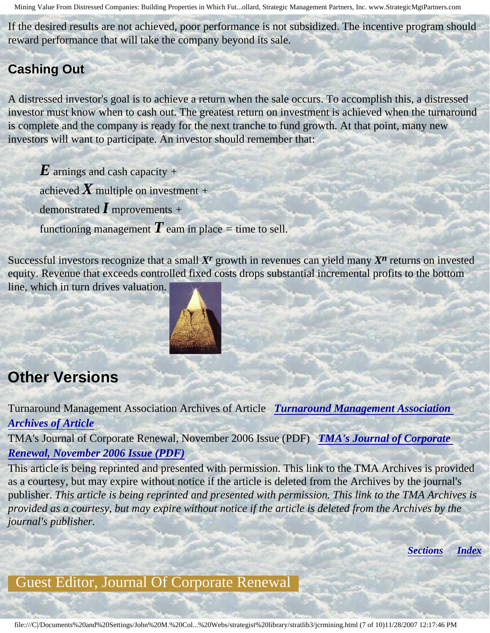If the desired results are not achieved, poor performance is not subsidized. The incentive program should reward performance that will take the company beyond its sale.

#### **Cashing Out**

A distressed investor's goal is to achieve a return when the sale occurs. To accomplish this, a distressed investor must know when to cash out. The greatest return on investment is achieved when the turnaround is complete and the company is ready for the next tranche to fund growth. At that point, many new investors will want to participate. An investor should remember that:

- *E* arnings and cash capacity *<sup>+</sup>* achieved *X* multiple on investment *<sup>+</sup>* demonstrated *I* mprovements *<sup>+</sup>*
- functioning management  $\boldsymbol{T}$  eam in place  $=$  time to sell.

Successful investors recognize that a small *Xr* growth in revenues can yield many *Xn* returns on invested equity. Revenue that exceeds controlled fixed costs drops substantial incremental profits to the bottom line, which in turn drives valuation.



## <span id="page-6-0"></span>**Other Versions**

Turnaround Management Association Archives of Article *[Turnaround Management Association](http://www.turnaround.org/print/articles.asp?objectID=6732) [Archives of Article](http://www.turnaround.org/print/articles.asp?objectID=6732)* 

TMA's Journal of Corporate Renewal, November 2006 Issue (PDF) *[TMA's Journal of Corporate](http://members.aol.com/stratlib3/jcrnov06.pdf) [Renewal, November 2006 Issue \(PDF\)](http://members.aol.com/stratlib3/jcrnov06.pdf)* 

This article is being reprinted and presented with permission. This link to the TMA Archives is provided as a courtesy, but may expire without notice if the article is deleted from the Archives by the journal's publisher. *This article is being reprinted and presented with permission. This link to the TMA Archives is provided as a courtesy, but may expire without notice if the article is deleted from the Archives by the journal's publisher.* 

*[Sections](#page-0-1) [Index](#page-0-2)*

### <span id="page-6-1"></span>Guest Editor, Journal Of Corporate Renewal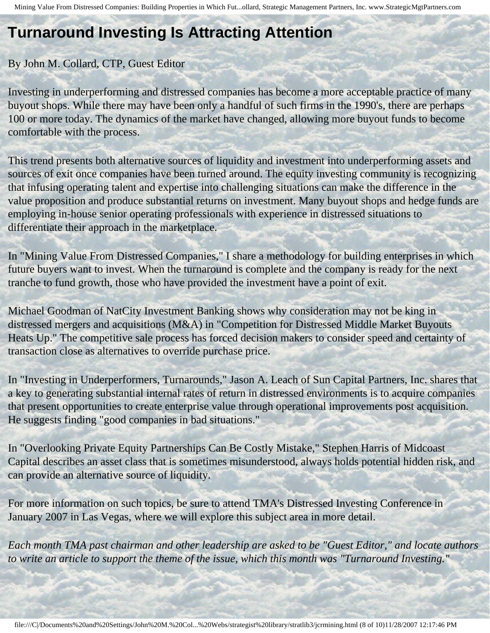# **Turnaround Investing Is Attracting Attention**

#### By John M. Collard, CTP, Guest Editor

Investing in underperforming and distressed companies has become a more acceptable practice of many buyout shops. While there may have been only a handful of such firms in the 1990's, there are perhaps 100 or more today. The dynamics of the market have changed, allowing more buyout funds to become comfortable with the process.

This trend presents both alternative sources of liquidity and investment into underperforming assets and sources of exit once companies have been turned around. The equity investing community is recognizing that infusing operating talent and expertise into challenging situations can make the difference in the value proposition and produce substantial returns on investment. Many buyout shops and hedge funds are employing in-house senior operating professionals with experience in distressed situations to differentiate their approach in the marketplace.

In "Mining Value From Distressed Companies," I share a methodology for building enterprises in which future buyers want to invest. When the turnaround is complete and the company is ready for the next tranche to fund growth, those who have provided the investment have a point of exit.

Michael Goodman of NatCity Investment Banking shows why consideration may not be king in distressed mergers and acquisitions (M&A) in "Competition for Distressed Middle Market Buyouts Heats Up." The competitive sale process has forced decision makers to consider speed and certainty of transaction close as alternatives to override purchase price.

In "Investing in Underperformers, Turnarounds," Jason A. Leach of Sun Capital Partners, Inc. shares that a key to generating substantial internal rates of return in distressed environments is to acquire companies that present opportunities to create enterprise value through operational improvements post acquisition. He suggests finding "good companies in bad situations."

In "Overlooking Private Equity Partnerships Can Be Costly Mistake," Stephen Harris of Midcoast Capital describes an asset class that is sometimes misunderstood, always holds potential hidden risk, and can provide an alternative source of liquidity.

For more information on such topics, be sure to attend TMA's Distressed Investing Conference in January 2007 in Las Vegas, where we will explore this subject area in more detail.

<span id="page-7-0"></span>*Each month TMA past chairman and other leadership are asked to be "Guest Editor," and locate authors to write an article to support the theme of the issue, which this month was "Turnaround Investing."*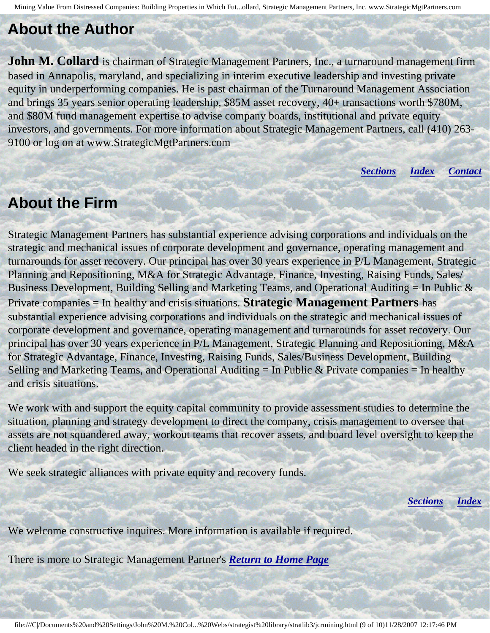#### **About the Author**

**John M. Collard** is chairman of Strategic Management Partners, Inc., a turnaround management firm based in Annapolis, maryland, and specializing in interim executive leadership and investing private equity in underperforming companies. He is past chairman of the Turnaround Management Association and brings 35 years senior operating leadership, \$85M asset recovery, 40+ transactions worth \$780M, and \$80M fund management expertise to advise company boards, institutional and private equity investors, and governments. For more information about Strategic Management Partners, call (410) 263 9100 or log on at www.StrategicMgtPartners.com

*[Sections](#page-0-1) [Index](#page-0-2) [Contact](#page-9-0)* 

#### <span id="page-8-0"></span>**About the Firm**

Strategic Management Partners has substantial experience advising corporations and individuals on the strategic and mechanical issues of corporate development and governance, operating management and turnarounds for asset recovery. Our principal has over 30 years experience in P/L Management, Strategic Planning and Repositioning, M&A for Strategic Advantage, Finance, Investing, Raising Funds, Sales/ Business Development, Building Selling and Marketing Teams, and Operational Auditing  $=$  In Public  $\&$ Private companies = In healthy and crisis situations. **Strategic Management Partners** has substantial experience advising corporations and individuals on the strategic and mechanical issues of corporate development and governance, operating management and turnarounds for asset recovery. Our principal has over 30 years experience in P/L Management, Strategic Planning and Repositioning, M&A for Strategic Advantage, Finance, Investing, Raising Funds, Sales/Business Development, Building Selling and Marketing Teams, and Operational Auditing  $=$  In Public & Private companies  $=$  In healthy and crisis situations.

We work with and support the equity capital community to provide assessment studies to determine the situation, planning and strategy development to direct the company, crisis management to oversee that assets are not squandered away, workout teams that recover assets, and board level oversight to keep the client headed in the right direction.

We seek strategic alliances with private equity and recovery funds.

*[Sections](#page-0-1) [Index](#page-0-2)* 

We welcome constructive inquires. More information is available if required.

There is more to Strategic Management Partner's *[Return to Home Page](http://members.aol.com/strategist/home.html#TOP)*